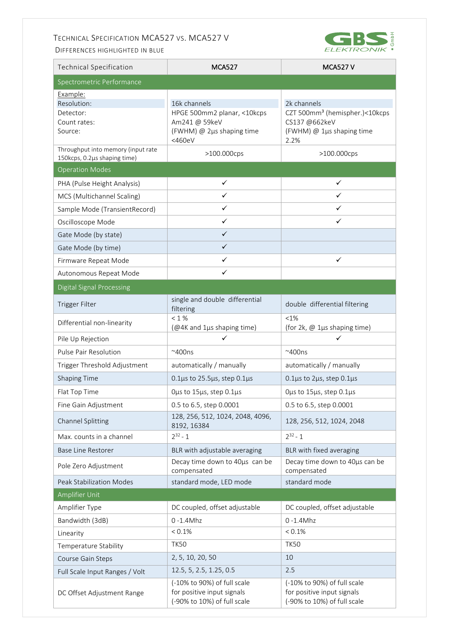## TECHNICAL SPECIFICATION MCA527 VS. MCA527 V

DIFFERENCES HIGHLIGHTED IN BLUE



| <b>Technical Specification</b>                                  | <b>MCA527</b>                                                                                       | <b>MCA527 V</b>                                                                                                 |
|-----------------------------------------------------------------|-----------------------------------------------------------------------------------------------------|-----------------------------------------------------------------------------------------------------------------|
| Spectrometric Performance                                       |                                                                                                     |                                                                                                                 |
| Example:<br>Resolution:<br>Detector:<br>Count rates:<br>Source: | 16k channels<br>HPGE 500mm2 planar, <10kcps<br>Am241 @ 59keV<br>(FWHM) @ 2µs shaping time<br><460eV | 2k channels<br>CZT 500mm <sup>3</sup> (hemispher.)<10kcps<br>CS137 @662keV<br>(FWHM) @ 1µs shaping time<br>2.2% |
| Throughput into memory (input rate                              | >100.000cps                                                                                         | >100.000cps                                                                                                     |
| 150kcps, 0.2µs shaping time)<br><b>Operation Modes</b>          |                                                                                                     |                                                                                                                 |
| PHA (Pulse Height Analysis)                                     | ✓                                                                                                   | ✓                                                                                                               |
| MCS (Multichannel Scaling)                                      | $\checkmark$                                                                                        | ✓                                                                                                               |
| Sample Mode (TransientRecord)                                   | $\checkmark$                                                                                        | ✓                                                                                                               |
| Oscilloscope Mode                                               | $\checkmark$                                                                                        | ✓                                                                                                               |
| Gate Mode (by state)                                            | $\checkmark$                                                                                        |                                                                                                                 |
| Gate Mode (by time)                                             | $\checkmark$                                                                                        |                                                                                                                 |
| Firmware Repeat Mode                                            | ✓                                                                                                   | ✓                                                                                                               |
| Autonomous Repeat Mode                                          | ✓                                                                                                   |                                                                                                                 |
| <b>Digital Signal Processing</b>                                |                                                                                                     |                                                                                                                 |
| Trigger Filter                                                  | single and double differential<br>filtering                                                         | double differential filtering                                                                                   |
| Differential non-linearity                                      | $< 1 \%$<br>(@4K and 1µs shaping time)                                                              | <1%<br>(for 2k, @ 1µs shaping time)                                                                             |
| Pile Up Rejection                                               | ✓                                                                                                   | ✓                                                                                                               |
| Pulse Pair Resolution                                           | $~\sim$ 400ns                                                                                       | $^{\sim}$ 400ns                                                                                                 |
| Trigger Threshold Adjustment                                    | automatically / manually                                                                            | automatically / manually                                                                                        |
| <b>Shaping Time</b>                                             | $0.1\mu s$ to 25.5 $\mu s$ , step 0.1 $\mu s$                                                       | 0.1µs to 2µs, step 0.1µs                                                                                        |
| Flat Top Time                                                   | Ous to 15us, step 0.1us                                                                             | Ous to 15us, step 0.1us                                                                                         |
| Fine Gain Adjustment                                            | 0.5 to 6.5, step 0.0001                                                                             | 0.5 to 6.5, step 0.0001                                                                                         |
| Channel Splitting                                               | 128, 256, 512, 1024, 2048, 4096,<br>8192, 16384                                                     | 128, 256, 512, 1024, 2048                                                                                       |
| Max. counts in a channel                                        | $2^{32} - 1$                                                                                        | $2^{32} - 1$                                                                                                    |
| <b>Base Line Restorer</b>                                       | BLR with adjustable averaging                                                                       | BLR with fixed averaging                                                                                        |
| Pole Zero Adjustment                                            | Decay time down to 40us can be<br>compensated                                                       | Decay time down to 40us can be<br>compensated                                                                   |
| <b>Peak Stabilization Modes</b>                                 | standard mode, LED mode                                                                             | standard mode                                                                                                   |
| Amplifier Unit                                                  |                                                                                                     |                                                                                                                 |
| Amplifier Type                                                  | DC coupled, offset adjustable                                                                       | DC coupled, offset adjustable                                                                                   |
| Bandwidth (3dB)                                                 | $0 - 1.4$ Mhz                                                                                       | $0 - 1.4$ Mhz                                                                                                   |
| Linearity                                                       | $< 0.1\%$                                                                                           | $< 0.1\%$                                                                                                       |
| Temperature Stability                                           | <b>TK50</b>                                                                                         | <b>TK50</b>                                                                                                     |
| Course Gain Steps                                               | 2, 5, 10, 20, 50                                                                                    | 10                                                                                                              |
| Full Scale Input Ranges / Volt                                  | 12.5, 5, 2.5, 1.25, 0.5                                                                             | 2.5                                                                                                             |
| DC Offset Adjustment Range                                      | (-10% to 90%) of full scale<br>for positive input signals<br>(-90% to 10%) of full scale            | (-10% to 90%) of full scale<br>for positive input signals<br>(-90% to 10%) of full scale                        |